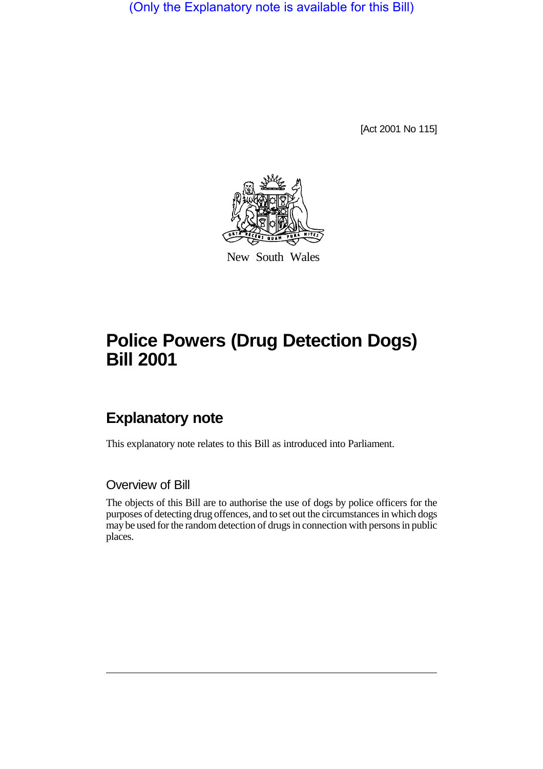(Only the Explanatory note is available for this Bill)

[Act 2001 No 115]



New South Wales

## **Police Powers (Drug Detection Dogs) Bill 2001**

## **Explanatory note**

This explanatory note relates to this Bill as introduced into Parliament.

## Overview of Bill

The objects of this Bill are to authorise the use of dogs by police officers for the purposes of detecting drug offences, and to set out the circumstances in which dogs may be used for the random detection of drugs in connection with persons in public places.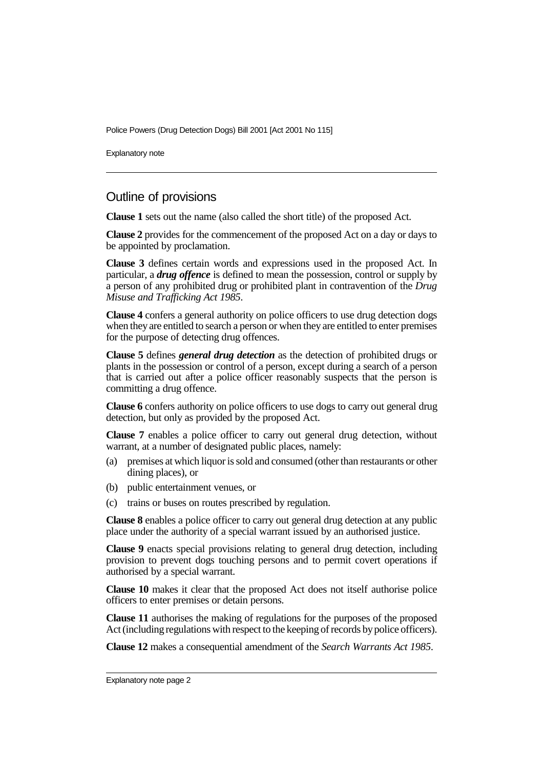Police Powers (Drug Detection Dogs) Bill 2001 [Act 2001 No 115]

Explanatory note

## Outline of provisions

**Clause 1** sets out the name (also called the short title) of the proposed Act.

**Clause 2** provides for the commencement of the proposed Act on a day or days to be appointed by proclamation.

**Clause 3** defines certain words and expressions used in the proposed Act. In particular, a *drug offence* is defined to mean the possession, control or supply by a person of any prohibited drug or prohibited plant in contravention of the *Drug Misuse and Trafficking Act 1985*.

**Clause 4** confers a general authority on police officers to use drug detection dogs when they are entitled to search a person or when they are entitled to enter premises for the purpose of detecting drug offences.

**Clause 5** defines *general drug detection* as the detection of prohibited drugs or plants in the possession or control of a person, except during a search of a person that is carried out after a police officer reasonably suspects that the person is committing a drug offence.

**Clause 6** confers authority on police officers to use dogs to carry out general drug detection, but only as provided by the proposed Act.

**Clause 7** enables a police officer to carry out general drug detection, without warrant, at a number of designated public places, namely:

- (a) premises at which liquor is sold and consumed (other than restaurants or other dining places), or
- (b) public entertainment venues, or
- (c) trains or buses on routes prescribed by regulation.

**Clause 8** enables a police officer to carry out general drug detection at any public place under the authority of a special warrant issued by an authorised justice.

**Clause 9** enacts special provisions relating to general drug detection, including provision to prevent dogs touching persons and to permit covert operations if authorised by a special warrant.

**Clause 10** makes it clear that the proposed Act does not itself authorise police officers to enter premises or detain persons.

**Clause 11** authorises the making of regulations for the purposes of the proposed Act (including regulations with respect to the keeping of records by police officers).

**Clause 12** makes a consequential amendment of the *Search Warrants Act 1985*.

Explanatory note page 2